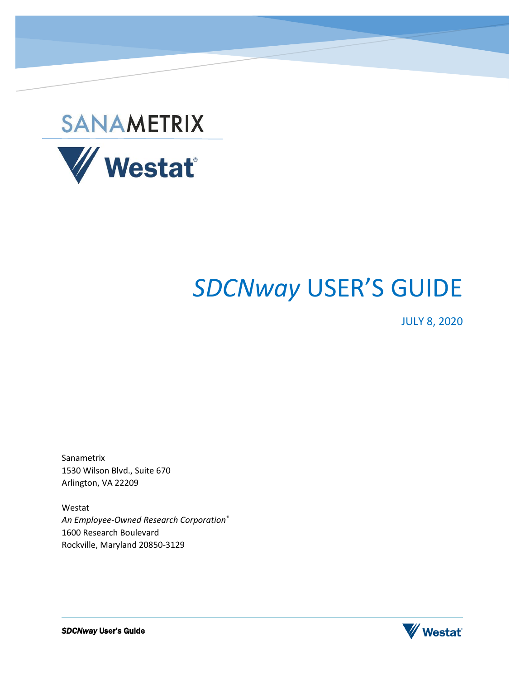

# *SDCNway* USER'S GUIDE

JULY 8, 2020

Sanametrix 1530 Wilson Blvd., Suite 670 Arlington, VA 22209

Westat *An Employee-Owned Research Corporation®* 1600 Research Boulevard Rockville, Maryland 20850-3129

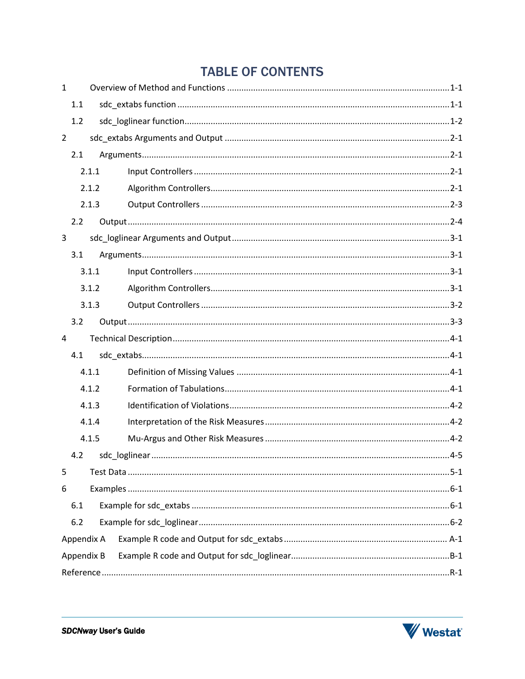# **TABLE OF CONTENTS**

| $\mathbf{1}$   |            |  |  |  |
|----------------|------------|--|--|--|
|                | 1.1        |  |  |  |
|                | 1.2        |  |  |  |
| $\overline{2}$ |            |  |  |  |
|                | 2.1        |  |  |  |
|                | 2.1.1      |  |  |  |
|                | 2.1.2      |  |  |  |
|                | 2.1.3      |  |  |  |
|                | 2.2        |  |  |  |
| 3              |            |  |  |  |
|                | 3.1        |  |  |  |
|                | 3.1.1      |  |  |  |
|                | 3.1.2      |  |  |  |
|                | 3.1.3      |  |  |  |
|                | 3.2        |  |  |  |
| 4              |            |  |  |  |
|                | 4.1        |  |  |  |
|                | 4.1.1      |  |  |  |
|                | 4.1.2      |  |  |  |
|                | 4.1.3      |  |  |  |
|                | 4.1.4      |  |  |  |
|                | 4.1.5      |  |  |  |
|                | 4.2        |  |  |  |
| 5              |            |  |  |  |
| 6              |            |  |  |  |
|                | 6.1        |  |  |  |
|                | 6.2        |  |  |  |
|                | Appendix A |  |  |  |
|                | Appendix B |  |  |  |
|                |            |  |  |  |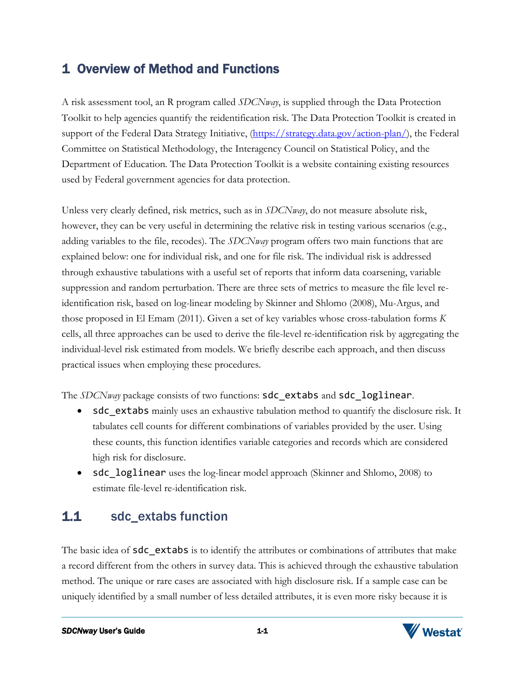# <span id="page-2-0"></span>1 Overview of Method and Functions

A risk assessment tool, an R program called *SDCNway*, is supplied through the Data Protection Toolkit to help agencies quantify the reidentification risk. The Data Protection Toolkit is created in support of the Federal Data Strategy Initiative, [\(https://strategy.data.gov/action-plan/\)](https://strategy.data.gov/action-plan/), the Federal Committee on Statistical Methodology, the Interagency Council on Statistical Policy, and the Department of Education. The Data Protection Toolkit is a website containing existing resources used by Federal government agencies for data protection.

Unless very clearly defined, risk metrics, such as in *SDCNway*, do not measure absolute risk, however, they can be very useful in determining the relative risk in testing various scenarios (e.g., adding variables to the file, recodes). The *SDCNway* program offers two main functions that are explained below: one for individual risk, and one for file risk. The individual risk is addressed through exhaustive tabulations with a useful set of reports that inform data coarsening, variable suppression and random perturbation. There are three sets of metrics to measure the file level reidentification risk, based on log-linear modeling by Skinner and Shlomo (2008), Mu-Argus, and those proposed in El Emam (2011). Given a set of key variables whose cross-tabulation forms *K* cells, all three approaches can be used to derive the file-level re-identification risk by aggregating the individual-level risk estimated from models. We briefly describe each approach, and then discuss practical issues when employing these procedures.

The *SDCNway* package consists of two functions: sdc\_extabs and sdc\_loglinear.

- sdc\_extabs mainly uses an exhaustive tabulation method to quantify the disclosure risk. It tabulates cell counts for different combinations of variables provided by the user. Using these counts, this function identifies variable categories and records which are considered high risk for disclosure.
- sdc loglinear uses the log-linear model approach (Skinner and Shlomo, 2008) to estimate file-level re-identification risk.

# <span id="page-2-1"></span>1.1 sdc\_extabs function

The basic idea of **sdc** extabs is to identify the attributes or combinations of attributes that make a record different from the others in survey data. This is achieved through the exhaustive tabulation method. The unique or rare cases are associated with high disclosure risk. If a sample case can be uniquely identified by a small number of less detailed attributes, it is even more risky because it is

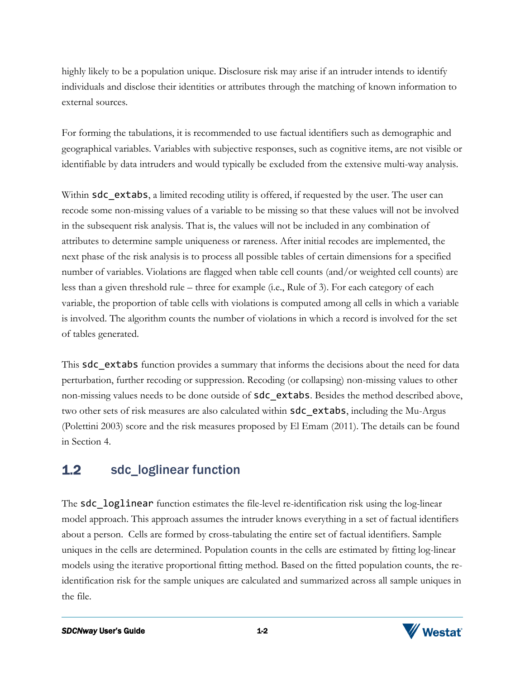highly likely to be a population unique. Disclosure risk may arise if an intruder intends to identify individuals and disclose their identities or attributes through the matching of known information to external sources.

For forming the tabulations, it is recommended to use factual identifiers such as demographic and geographical variables. Variables with subjective responses, such as cognitive items, are not visible or identifiable by data intruders and would typically be excluded from the extensive multi-way analysis.

Within **sdc** extabs, a limited recoding utility is offered, if requested by the user. The user can recode some non-missing values of a variable to be missing so that these values will not be involved in the subsequent risk analysis. That is, the values will not be included in any combination of attributes to determine sample uniqueness or rareness. After initial recodes are implemented, the next phase of the risk analysis is to process all possible tables of certain dimensions for a specified number of variables. Violations are flagged when table cell counts (and/or weighted cell counts) are less than a given threshold rule – three for example (i.e., Rule of 3). For each category of each variable, the proportion of table cells with violations is computed among all cells in which a variable is involved. The algorithm counts the number of violations in which a record is involved for the set of tables generated.

This **sdc** extabs function provides a summary that informs the decisions about the need for data perturbation, further recoding or suppression. Recoding (or collapsing) non-missing values to other non-missing values needs to be done outside of **sdc** extabs. Besides the method described above, two other sets of risk measures are also calculated within **sdc** extabs, including the Mu-Argus (Polettini 2003) score and the risk measures proposed by El Emam (2011). The details can be found in Section 4.

### <span id="page-3-0"></span>1.2 sdc\_loglinear function

The sdc loglinear function estimates the file-level re-identification risk using the log-linear model approach. This approach assumes the intruder knows everything in a set of factual identifiers about a person. Cells are formed by cross-tabulating the entire set of factual identifiers. Sample uniques in the cells are determined. Population counts in the cells are estimated by fitting log-linear models using the iterative proportional fitting method. Based on the fitted population counts, the reidentification risk for the sample uniques are calculated and summarized across all sample uniques in the file.

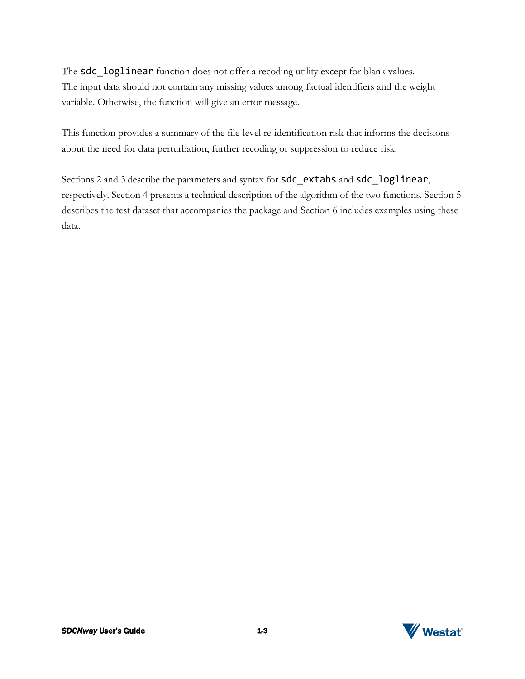The sdc\_loglinear function does not offer a recoding utility except for blank values. The input data should not contain any missing values among factual identifiers and the weight variable. Otherwise, the function will give an error message.

This function provides a summary of the file-level re-identification risk that informs the decisions about the need for data perturbation, further recoding or suppression to reduce risk.

Sections 2 and 3 describe the parameters and syntax for sdc\_extabs and sdc\_loglinear, respectively. Section 4 presents a technical description of the algorithm of the two functions. Section 5 describes the test dataset that accompanies the package and Section 6 includes examples using these data.

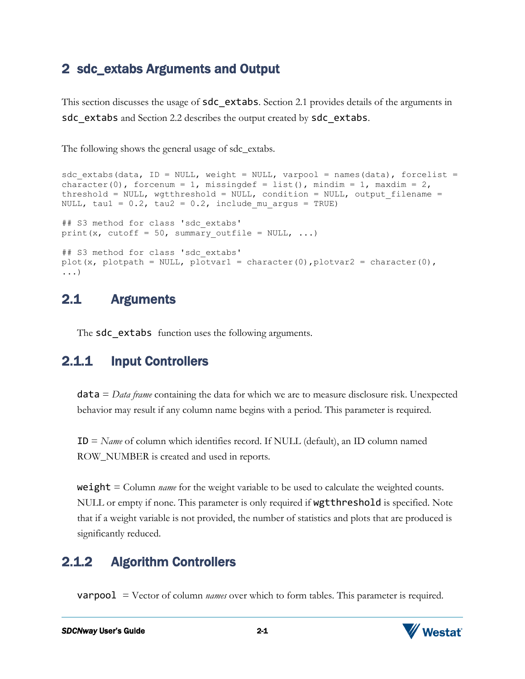### <span id="page-5-0"></span>2 sdc\_extabs Arguments and Output

This section discusses the usage of sdc\_extabs*.* Section 2.1 provides details of the arguments in sdc\_extabs and Section 2.2 describes the output created by sdc\_extabs.

The following shows the general usage of sdc\_extabs.

```
sdc extabs(data, ID = NULL, weight = NULL, varpool = names(data), forcelist =
character(0), forcenum = 1, missingdef = list(), mindim = 1, maxdim = 2,
threshold = NULL, wgtthreshold = NULL, condition = NULL, output filename =
NULL, tau1 = 0.2, tau2 = 0.2, include mu argus = TRUE)
## S3 method for class 'sdc_extabs'
print(x, cutoff = 50, summary outfile = NULL, \dots)
## S3 method for class 'sdc_extabs'
plot(x, plotpath = NULL, plotvar1 = character(0), plotvar2 = character(0),
...)
```
### <span id="page-5-1"></span>2.1 Arguments

The **sdc** extabs function uses the following arguments.

# <span id="page-5-2"></span>2.1.1 Input Controllers

data = *Data frame* containing the data for which we are to measure disclosure risk. Unexpected behavior may result if any column name begins with a period. This parameter is required.

ID = *Name* of column which identifies record. If NULL (default), an ID column named ROW\_NUMBER is created and used in reports.

weight = Column *name* for the weight variable to be used to calculate the weighted counts. NULL or empty if none. This parameter is only required if **wgtthreshold** is specified. Note that if a weight variable is not provided, the number of statistics and plots that are produced is significantly reduced.

# <span id="page-5-3"></span>2.1.2 Algorithm Controllers

varpool = Vector of column *names* over which to form tables. This parameter is required.

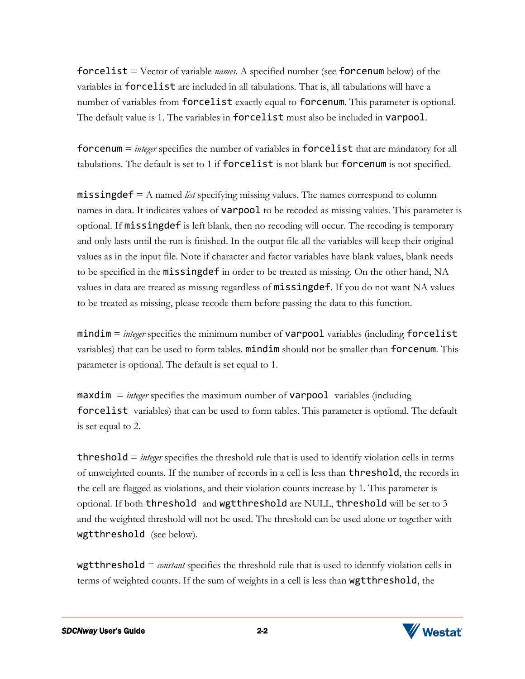forcelist = Vector of variable *names*. A specified number (see forcenum below) of the variables in forcelist are included in all tabulations. That is, all tabulations will have a number of variables from **forcelist** exactly equal to **forcenum**. This parameter is optional. The default value is 1. The variables in forcelist must also be included in varpool.

forcenum = *integer* specifies the number of variables in forcelist that are mandatory for all tabulations. The default is set to 1 if forcelist is not blank but forcenum is not specified.

missingdef = A named *list* specifying missing values. The names correspond to column names in data. It indicates values of **varpool** to be recoded as missing values. This parameter is optional. If missingdef is left blank, then no recoding will occur. The recoding is temporary and only lasts until the run is finished. In the output file all the variables will keep their original values as in the input file. Note if character and factor variables have blank values, blank needs to be specified in the missingdef in order to be treated as missing. On the other hand, NA values in data are treated as missing regardless of **missingdef**. If you do not want NA values to be treated as missing, please recode them before passing the data to this function.

mindim = *integer* specifies the minimum number of varpool variables (including forcelist variables) that can be used to form tables. mindim should not be smaller than forcenum. This parameter is optional. The default is set equal to 1.

 $maxdim =$  *integer* specifies the maximum number of **varpool** variables (including forcelist variables) that can be used to form tables. This parameter is optional. The default is set equal to 2.

threshold = *integer* specifies the threshold rule that is used to identify violation cells in terms of unweighted counts. If the number of records in a cell is less than threshold, the records in the cell are flagged as violations, and their violation counts increase by 1. This parameter is optional. If both threshold and wgtthreshold are NULL, threshold will be set to 3 and the weighted threshold will not be used. The threshold can be used alone or together with wgtthreshold (see below).

wgtthreshold = *constant* specifies the threshold rule that is used to identify violation cells in terms of weighted counts. If the sum of weights in a cell is less than wgtthreshold, the

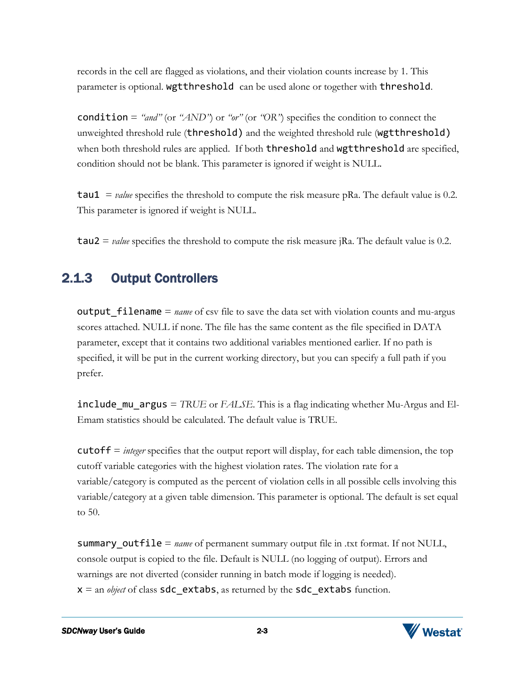records in the cell are flagged as violations, and their violation counts increase by 1. This parameter is optional. wgtthreshold can be used alone or together with threshold.

condition =  $\alpha$ <sup>*"and"*</sup> (or  $\alpha$ *AND*<sup>"</sup>) or  $\alpha$ <sup>"</sup> (or  $\alpha$ <sup>"</sup>OR<sup>"</sup>) specifies the condition to connect the unweighted threshold rule (threshold) and the weighted threshold rule (wgtthreshold) when both threshold rules are applied. If both threshold and wgtthreshold are specified, condition should not be blank. This parameter is ignored if weight is NULL.

tau1 = *value* specifies the threshold to compute the risk measure pRa. The default value is 0.2. This parameter is ignored if weight is NULL.

tau2 = *value* specifies the threshold to compute the risk measure jRa. The default value is 0.2.

### <span id="page-7-0"></span>2.1.3 Output Controllers

**output** filename  $=$  *name* of csv file to save the data set with violation counts and mu-argus scores attached. NULL if none. The file has the same content as the file specified in DATA parameter, except that it contains two additional variables mentioned earlier. If no path is specified, it will be put in the current working directory, but you can specify a full path if you prefer.

include\_mu\_argus = *TRUE* or *FALSE*. This is a flag indicating whether Mu-Argus and El-Emam statistics should be calculated. The default value is TRUE.

cutoff = *integer* specifies that the output report will display, for each table dimension, the top cutoff variable categories with the highest violation rates. The violation rate for a variable/category is computed as the percent of violation cells in all possible cells involving this variable/category at a given table dimension. This parameter is optional. The default is set equal to 50.

summary\_outfile = *name* of permanent summary output file in .txt format. If not NULL, console output is copied to the file. Default is NULL (no logging of output). Errors and warnings are not diverted (consider running in batch mode if logging is needed).  $x =$  an *object* of class **sdc** extabs, as returned by the **sdc** extabs function.

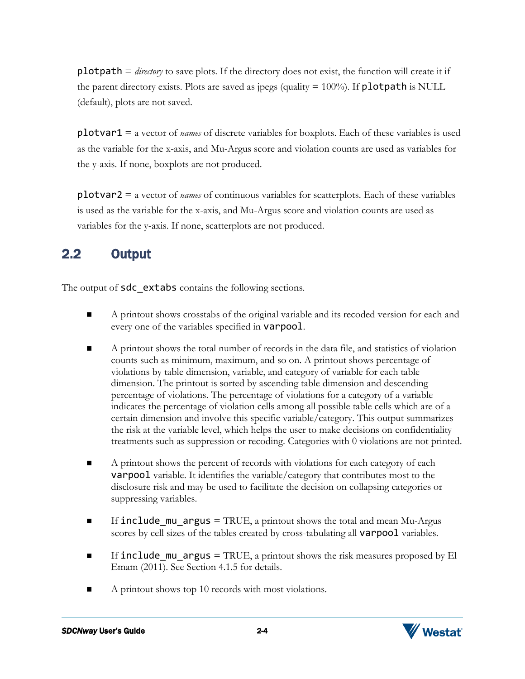plotpath = *directory* to save plots. If the directory does not exist, the function will create it if the parent directory exists. Plots are saved as jpegs (quality  $= 100\%$ ). If **plotpath** is NULL (default), plots are not saved.

plotvar1 = a vector of *names* of discrete variables for boxplots. Each of these variables is used as the variable for the x-axis, and Mu-Argus score and violation counts are used as variables for the y-axis. If none, boxplots are not produced.

plotvar2 = a vector of *names* of continuous variables for scatterplots. Each of these variables is used as the variable for the x-axis, and Mu-Argus score and violation counts are used as variables for the y-axis. If none, scatterplots are not produced.

# <span id="page-8-0"></span>2.2 Output

The output of **sdc** extabs contains the following sections.

- A printout shows crosstabs of the original variable and its recoded version for each and every one of the variables specified in varpool.
- A printout shows the total number of records in the data file, and statistics of violation counts such as minimum, maximum, and so on. A printout shows percentage of violations by table dimension, variable, and category of variable for each table dimension. The printout is sorted by ascending table dimension and descending percentage of violations. The percentage of violations for a category of a variable indicates the percentage of violation cells among all possible table cells which are of a certain dimension and involve this specific variable/category. This output summarizes the risk at the variable level, which helps the user to make decisions on confidentiality treatments such as suppression or recoding. Categories with 0 violations are not printed.
- A printout shows the percent of records with violations for each category of each varpool variable. It identifies the variable/category that contributes most to the disclosure risk and may be used to facilitate the decision on collapsing categories or suppressing variables.
- If include mu argus = TRUE, a printout shows the total and mean Mu-Argus scores by cell sizes of the tables created by cross-tabulating all varpool variables.
- If include mu argus = TRUE, a printout shows the risk measures proposed by El Emam (2011). See Section 4.1.5 for details.
- A printout shows top 10 records with most violations.



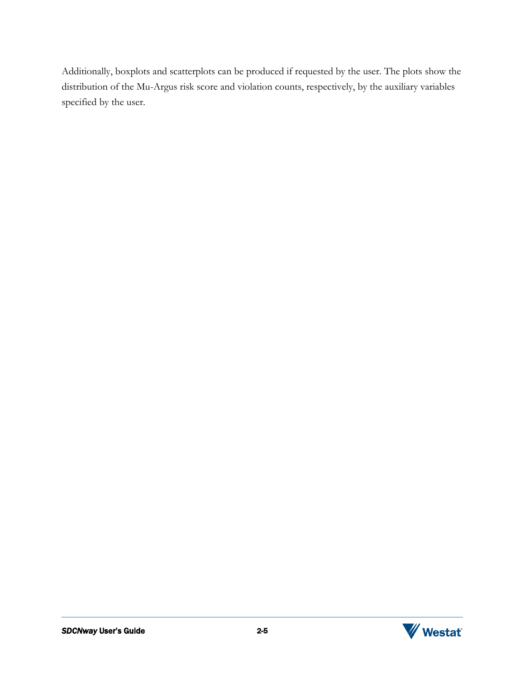Additionally, boxplots and scatterplots can be produced if requested by the user. The plots show the distribution of the Mu-Argus risk score and violation counts, respectively, by the auxiliary variables specified by the user.

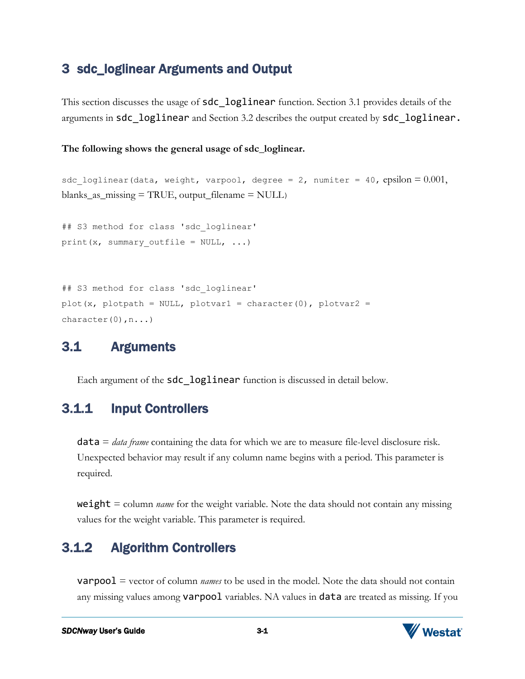### <span id="page-10-0"></span>3 sdc\_loglinear Arguments and Output

This section discusses the usage of **sdc** loglinear function. Section 3.1 provides details of the arguments in sdc\_loglinear and Section 3.2 describes the output created by sdc\_loglinear.

**The following shows the general usage of sdc\_loglinear.** 

```
sdc loglinear(data, weight, varpool, degree = 2, numiter = 40, epsilon = 0.001,
blanks_as\_missing = TRUE, output_filename = NULL)
## S3 method for class 'sdc_loglinear'
print(x, summary_outfile = NULL, ...)
```

```
## S3 method for class 'sdc loglinear'
plot(x, plotpath = NULL, plotvar1 = character(0), plotvar2 =
character(0), n...)
```
# <span id="page-10-1"></span>3.1 Arguments

Each argument of the **sdc** loglinear function is discussed in detail below.

# <span id="page-10-2"></span>3.1.1 Input Controllers

data = *data frame* containing the data for which we are to measure file-level disclosure risk. Unexpected behavior may result if any column name begins with a period. This parameter is required.

weight = column *name* for the weight variable. Note the data should not contain any missing values for the weight variable. This parameter is required.

# <span id="page-10-3"></span>3.1.2 Algorithm Controllers

varpool = vector of column *names* to be used in the model. Note the data should not contain any missing values among **varpool** variables. NA values in **data** are treated as missing. If you

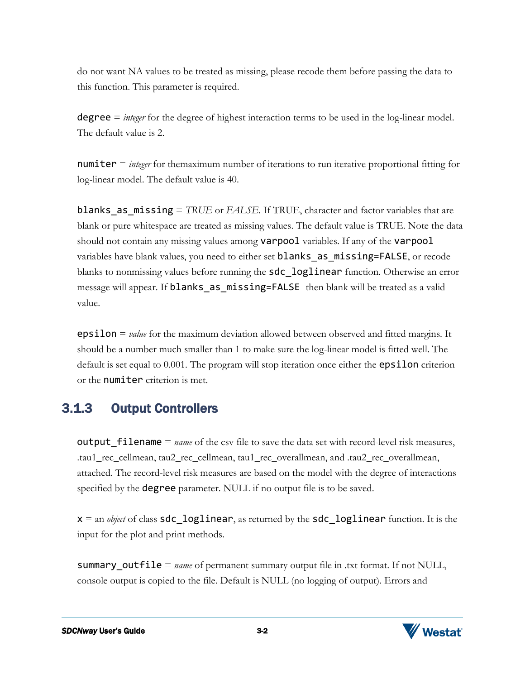do not want NA values to be treated as missing, please recode them before passing the data to this function. This parameter is required.

degree = *integer* for the degree of highest interaction terms to be used in the log-linear model. The default value is 2.

numiter = *integer* for themaximum number of iterations to run iterative proportional fitting for log-linear model. The default value is 40.

blanks\_as\_missing = *TRUE* or *FALSE*. If TRUE, character and factor variables that are blank or pure whitespace are treated as missing values. The default value is TRUE. Note the data should not contain any missing values among varpool variables. If any of the varpool variables have blank values, you need to either set **blanks** as missing=FALSE, or recode blanks to nonmissing values before running the **sdc** loglinear function. Otherwise an error message will appear. If blanks as missing=FALSE then blank will be treated as a valid value.

epsilon = *value* for the maximum deviation allowed between observed and fitted margins. It should be a number much smaller than 1 to make sure the log-linear model is fitted well. The default is set equal to 0.001. The program will stop iteration once either the **epsilon** criterion or the numiter criterion is met.

### <span id="page-11-0"></span>3.1.3 Output Controllers

**output** filename = *name* of the csv file to save the data set with record-level risk measures, .tau1\_rec\_cellmean, tau2\_rec\_cellmean, tau1\_rec\_overallmean, and .tau2\_rec\_overallmean, attached. The record-level risk measures are based on the model with the degree of interactions specified by the **degree** parameter. NULL if no output file is to be saved.

 $x =$  an *object* of class **sdc** loglinear, as returned by the **sdc** loglinear function. It is the input for the plot and print methods.

summary outfile = *name* of permanent summary output file in .txt format. If not NULL, console output is copied to the file. Default is NULL (no logging of output). Errors and

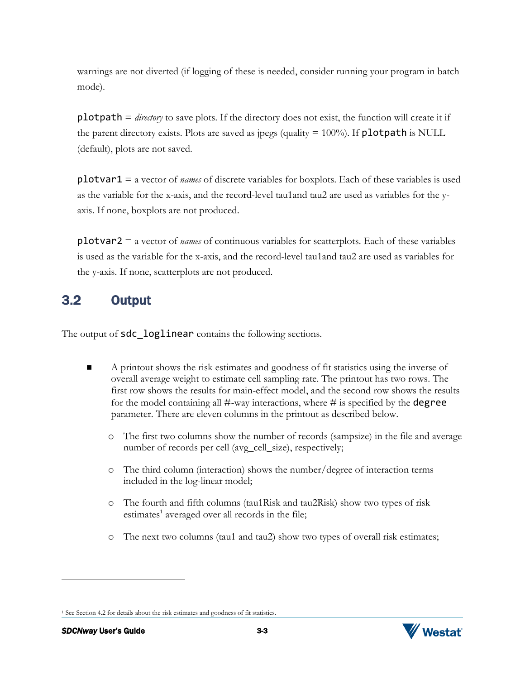warnings are not diverted (if logging of these is needed, consider running your program in batch mode).

plotpath = *directory* to save plots. If the directory does not exist, the function will create it if the parent directory exists. Plots are saved as jpegs (quality  $= 100\%$ ). If **plotpath** is NULL (default), plots are not saved.

plotvar1 = a vector of *names* of discrete variables for boxplots. Each of these variables is used as the variable for the x-axis, and the record-level tau1and tau2 are used as variables for the yaxis. If none, boxplots are not produced.

plotvar2 = a vector of *names* of continuous variables for scatterplots. Each of these variables is used as the variable for the x-axis, and the record-level tau1and tau2 are used as variables for the y-axis. If none, scatterplots are not produced.

# <span id="page-12-0"></span>3.2 Output

The output of sdc\_loglinear contains the following sections.

- A printout shows the risk estimates and goodness of fit statistics using the inverse of overall average weight to estimate cell sampling rate. The printout has two rows. The first row shows the results for main-effect model, and the second row shows the results for the model containing all  $\#$ -way interactions, where  $\#$  is specified by the **degree** parameter. There are eleven columns in the printout as described below.
	- o The first two columns show the number of records (sampsize) in the file and average number of records per cell (avg\_cell\_size), respectively;
	- o The third column (interaction) shows the number/degree of interaction terms included in the log-linear model;
	- o The fourth and fifth columns (tau1Risk and tau2Risk) show two types of risk estimates<sup>1</sup> averaged over all records in the file;
	- o The next two columns (tau1 and tau2) show two types of overall risk estimates;

<sup>&</sup>lt;sup>1</sup> See Section 4.2 for details about the risk estimates and goodness of fit statistics.



l

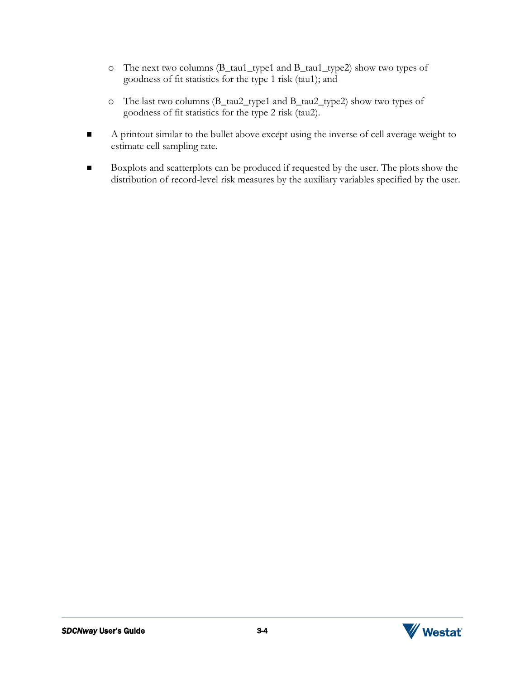- o The next two columns (B\_tau1\_type1 and B\_tau1\_type2) show two types of goodness of fit statistics for the type 1 risk (tau1); and
- o The last two columns (B\_tau2\_type1 and B\_tau2\_type2) show two types of goodness of fit statistics for the type 2 risk (tau2).
- A printout similar to the bullet above except using the inverse of cell average weight to estimate cell sampling rate.
- Boxplots and scatterplots can be produced if requested by the user. The plots show the distribution of record-level risk measures by the auxiliary variables specified by the user.



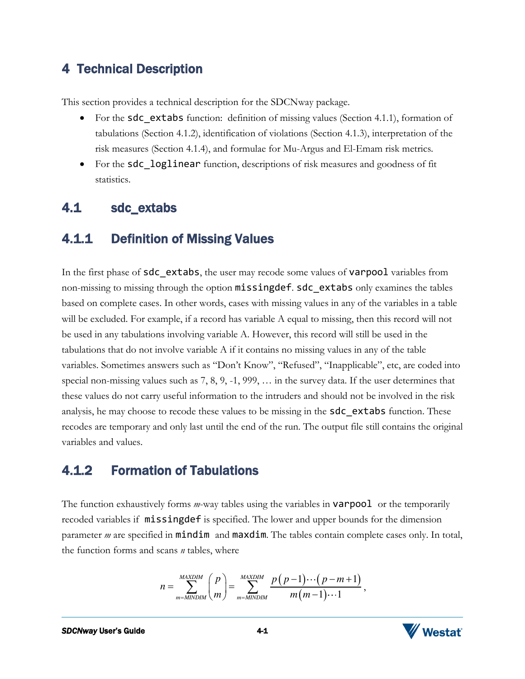### <span id="page-14-0"></span>4 Technical Description

This section provides a technical description for the SDCNway package.

- For the sdc extabs function: definition of missing values (Section 4.1.1), formation of tabulations (Section 4.1.2), identification of violations (Section 4.1.3), interpretation of the risk measures (Section 4.1.4), and formulae for Mu-Argus and El-Emam risk metrics*.*
- For the **sdc** loglinear function, descriptions of risk measures and goodness of fit statistics.

### <span id="page-14-1"></span>4.1 sdc\_extabs

### <span id="page-14-2"></span>4.1.1 Definition of Missing Values

In the first phase of sdc\_extabs, the user may recode some values of varpool variables from non-missing to missing through the option missingdef. sdc\_extabs only examines the tables based on complete cases. In other words, cases with missing values in any of the variables in a table will be excluded. For example, if a record has variable A equal to missing, then this record will not be used in any tabulations involving variable A. However, this record will still be used in the tabulations that do not involve variable A if it contains no missing values in any of the table variables. Sometimes answers such as "Don't Know", "Refused", "Inapplicable", etc, are coded into special non-missing values such as 7, 8, 9, -1, 999, … in the survey data. If the user determines that these values do not carry useful information to the intruders and should not be involved in the risk analysis, he may choose to recode these values to be missing in the **sdc** extabs function. These recodes are temporary and only last until the end of the run. The output file still contains the original variables and values.

# <span id="page-14-3"></span>4.1.2 Formation of Tabulations

The function exhaustively forms *m*-way tables using the variables in varpool or the temporarily recoded variables if missingdef is specified. The lower and upper bounds for the dimension parameter *m* are specified in **mindim** and **maxdim**. The tables contain complete cases only. In total, the function forms and scans *n* tables, where

$$
n = \sum_{m=MINDIM}^{MAXDIM} \binom{p}{m} = \sum_{m=MINDIM}^{MAXDIM} \frac{p(p-1)\cdots(p-m+1)}{m(m-1)\cdots1},
$$

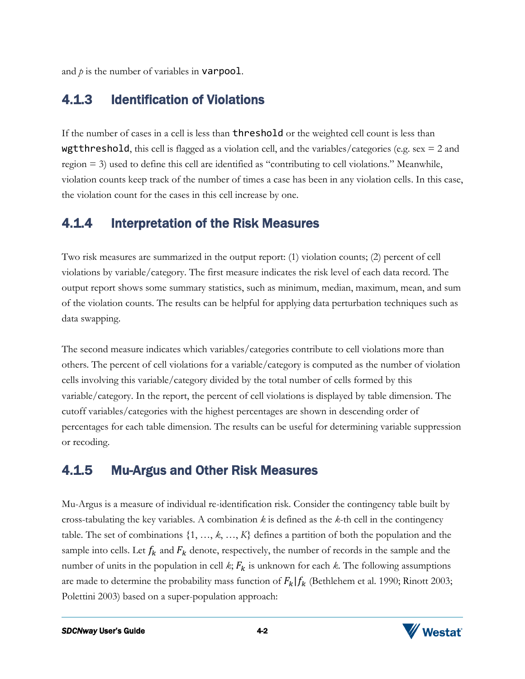and  $p$  is the number of variables in **varpool**.

### <span id="page-15-0"></span>4.1.3 Identification of Violations

If the number of cases in a cell is less than threshold or the weighted cell count is less than **wgtthreshold**, this cell is flagged as a violation cell, and the variables/categories (e.g. sex  $= 2$  and region = 3) used to define this cell are identified as "contributing to cell violations." Meanwhile, violation counts keep track of the number of times a case has been in any violation cells. In this case, the violation count for the cases in this cell increase by one.

### <span id="page-15-1"></span>4.1.4 Interpretation of the Risk Measures

Two risk measures are summarized in the output report: (1) violation counts; (2) percent of cell violations by variable/category. The first measure indicates the risk level of each data record. The output report shows some summary statistics, such as minimum, median, maximum, mean, and sum of the violation counts. The results can be helpful for applying data perturbation techniques such as data swapping.

The second measure indicates which variables/categories contribute to cell violations more than others. The percent of cell violations for a variable/category is computed as the number of violation cells involving this variable/category divided by the total number of cells formed by this variable/category. In the report, the percent of cell violations is displayed by table dimension. The cutoff variables/categories with the highest percentages are shown in descending order of percentages for each table dimension. The results can be useful for determining variable suppression or recoding.

# <span id="page-15-2"></span>4.1.5 Mu-Argus and Other Risk Measures

Mu-Argus is a measure of individual re-identification risk. Consider the contingency table built by cross-tabulating the key variables. A combination *k* is defined as the *k*-th cell in the contingency table. The set of combinations {1, …, *k*, …, *K*} defines a partition of both the population and the sample into cells. Let  $f_k$  and  $F_k$  denote, respectively, the number of records in the sample and the number of units in the population in cell  $k$ ;  $F_k$  is unknown for each  $k$ . The following assumptions are made to determine the probability mass function of  $F_k | f_k$  (Bethlehem et al. 1990; Rinott 2003; Polettini 2003) based on a super-population approach:

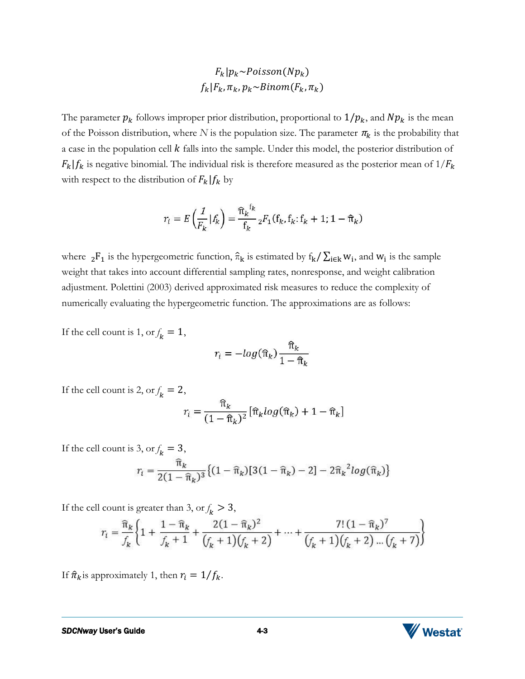$$
F_k|p_k \sim Poisson(Np_k)
$$
  

$$
f_k|F_k, \pi_k, p_k \sim Binom(F_k, \pi_k)
$$

The parameter  $p_k$  follows improper prior distribution, proportional to  $1/p_k$ , and  $Np_k$  is the mean of the Poisson distribution, where *N* is the population size. The parameter  $\pi_k$  is the probability that a case in the population cell  $k$  falls into the sample. Under this model, the posterior distribution of  $F_k|f_k$  is negative binomial. The individual risk is therefore measured as the posterior mean of  $1/F_k$ with respect to the distribution of  $F_k | f_k$  by

$$
r_i = E\left(\frac{1}{F_k} | f_k\right) = \frac{\hat{\pi}_k^{f_k}}{f_k} {}_2F_1(f_k, f_k; f_k + 1; 1 - \hat{\pi}_k)
$$

where  ${}_2F_1$  is the hypergeometric function,  $\hat{\pi}_k$  is estimated by  $f_k/\sum_{i\in k}w_i$ , and  $w_i$  is the sample weight that takes into account differential sampling rates, nonresponse, and weight calibration adjustment. Polettini (2003) derived approximated risk measures to reduce the complexity of numerically evaluating the hypergeometric function. The approximations are as follows:

If the cell count is 1, or  $f_k = 1$ ,

$$
r_i = -\log(\widehat{\pi}_k) \frac{\widehat{\pi}_k}{1 - \widehat{\pi}_k}
$$

If the cell count is 2, or  $f_k = 2$ ,

$$
r_i = \frac{\widehat{\pi}_k}{(1 - \widehat{\pi}_k)^2} \left[ \widehat{\pi}_k \log(\widehat{\pi}_k) + 1 - \widehat{\pi}_k \right]
$$

If the cell count is 3, or  $f_k = 3$ ,

$$
r_i = \frac{\hat{\pi}_k}{2(1 - \hat{\pi}_k)^3} \{ (1 - \hat{\pi}_k) [3(1 - \hat{\pi}_k) - 2] - 2\hat{\pi}_k^2 log(\hat{\pi}_k) \}
$$

If the cell count is greater than 3, or  $f_k > 3$ ,

$$
r_i = \frac{\widehat{\pi}_k}{f_k} \left\{ 1 + \frac{1 - \widehat{\pi}_k}{f_k + 1} + \frac{2(1 - \widehat{\pi}_k)^2}{(f_k + 1)(f_k + 2)} + \dots + \frac{7! (1 - \widehat{\pi}_k)^7}{(f_k + 1)(f_k + 2) \dots (f_k + 7)} \right\}
$$

If  $\hat{\pi}_k$  is approximately 1, then  $r_i = 1/f_k$ .

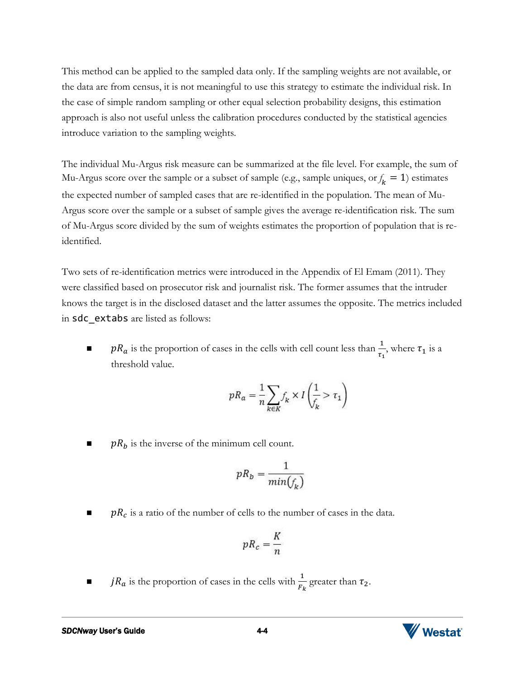This method can be applied to the sampled data only. If the sampling weights are not available, or the data are from census, it is not meaningful to use this strategy to estimate the individual risk. In the case of simple random sampling or other equal selection probability designs, this estimation approach is also not useful unless the calibration procedures conducted by the statistical agencies introduce variation to the sampling weights.

The individual Mu-Argus risk measure can be summarized at the file level. For example, the sum of Mu-Argus score over the sample or a subset of sample (e.g., sample uniques, or  $f_k = 1$ ) estimates the expected number of sampled cases that are re-identified in the population. The mean of Mu-Argus score over the sample or a subset of sample gives the average re-identification risk. The sum of Mu-Argus score divided by the sum of weights estimates the proportion of population that is reidentified.

Two sets of re-identification metrics were introduced in the Appendix of El Emam (2011). They were classified based on prosecutor risk and journalist risk. The former assumes that the intruder knows the target is in the disclosed dataset and the latter assumes the opposite. The metrics included in sdc extabs are listed as follows:

 $\blacksquare$   $p_{a}$  is the proportion of cases in the cells with cell count less than  $\frac{1}{\tau_{1}}$ , where  $\tau_{1}$  is a threshold value.

$$
pR_a = \frac{1}{n}\sum_{k \in K} f_k \times I\left(\frac{1}{f_k} > \tau_1\right)
$$

 $pR_b$  is the inverse of the minimum cell count.

$$
pR_b = \frac{1}{min(f_k)}
$$

 $\blacksquare$   $pR_c$  is a ratio of the number of cells to the number of cases in the data.

$$
pR_c = \frac{K}{n}
$$

 $\blacksquare$   $jR_a$  is the proportion of cases in the cells with  $\frac{1}{F_k}$  greater than  $\tau_2$ .



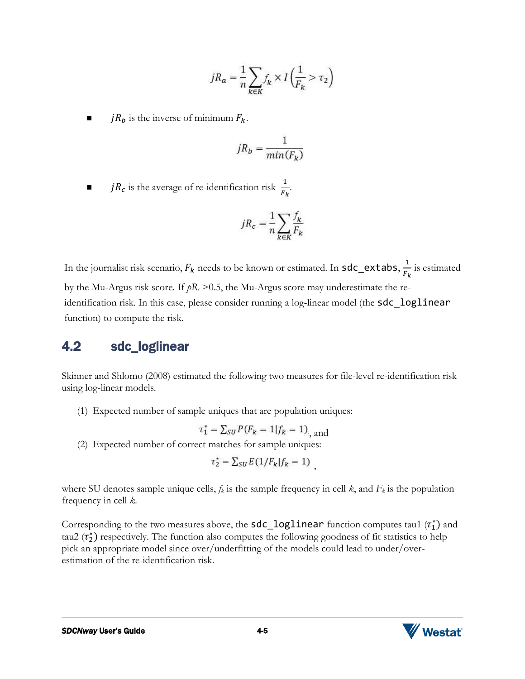$$
jR_a = \frac{1}{n} \sum_{k \in K} f_k \times I\left(\frac{1}{F_k} > \tau_2\right)
$$

 $jR_b$  is the inverse of minimum  $F_k$ .

$$
jR_b = \frac{1}{min(F_k)}
$$

 $\blacksquare$  *jR<sub>c</sub>* is the average of re-identification risk  $\frac{1}{F_k}$ .

$$
jR_c = \frac{1}{n} \sum_{k \in K} \frac{f_k}{F_k}
$$

In the journalist risk scenario,  $F_k$  needs to be known or estimated. In <code>sdc\_extabs, $\frac{1}{F_l}$ </code>  $\frac{1}{F_k}$  is estimated by the Mu-Argus risk score. If  $pR_c$  > 0.5, the Mu-Argus score may underestimate the reidentification risk. In this case, please consider running a log-linear model (the **sdc\_loglinear** function) to compute the risk.

### <span id="page-18-0"></span>4.2 sdc\_loglinear

Skinner and Shlomo (2008) estimated the following two measures for file-level re-identification risk using log-linear models.

(1) Expected number of sample uniques that are population uniques:

$$
\tau_1^* = \sum_{SU} P(F_k = 1 | f_k = 1)_{\text{and}}
$$

(2) Expected number of correct matches for sample uniques:

$$
\tau_2^* = \sum_{SU} E(1/F_k|f_k=1)
$$

where SU denotes sample unique cells,  $f_k$  is the sample frequency in cell  $k$ , and  $F_k$  is the population frequency in cell *k*.

Corresponding to the two measures above, the  $\textsf{sdc\_loglinear}$  function computes tau1  $(\tau_1^*)$  and tau2  $(\tau_2^*)$  respectively. The function also computes the following goodness of fit statistics to help pick an appropriate model since over/underfitting of the models could lead to under/overestimation of the re-identification risk.

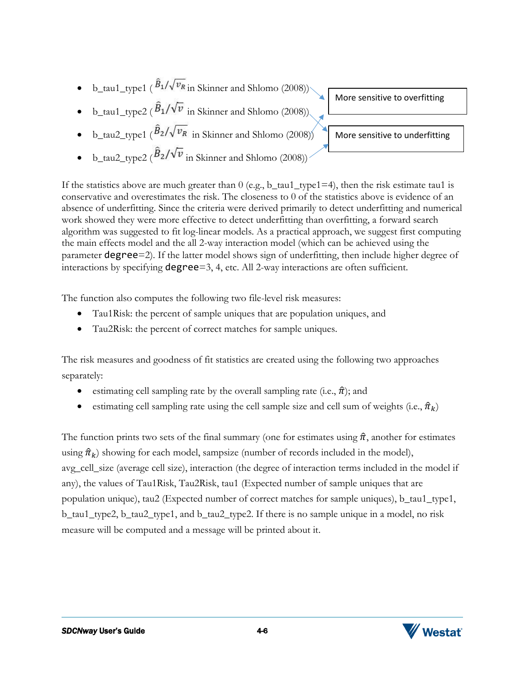- b\_tau1\_type1 ( $\hat{B}_1/\sqrt{v_R}$  in Skinner and Shlomo (2008))
- b\_tau1\_type2 ( $\hat{B}_1/\sqrt{v}$  in Skinner and Shlomo (2008)).
- b\_tau2\_type1 ( $\hat{B}_2/\sqrt{v_R}$  in Skinner and Shlomo (2008))
- b\_tau2\_type2 ( $\hat{B}_2/\sqrt{v}$  in Skinner and Shlomo (2008))

More sensitive to overfitting

More sensitive to underfitting

If the statistics above are much greater than  $0$  (e.g., b\_tau1\_type1=4), then the risk estimate tau1 is conservative and overestimates the risk. The closeness to 0 of the statistics above is evidence of an absence of underfitting. Since the criteria were derived primarily to detect underfitting and numerical work showed they were more effective to detect underfitting than overfitting, a forward search algorithm was suggested to fit log-linear models. As a practical approach, we suggest first computing the main effects model and the all 2-way interaction model (which can be achieved using the parameter degree=2). If the latter model shows sign of underfitting, then include higher degree of interactions by specifying degree=3, 4, etc. All 2-way interactions are often sufficient.

The function also computes the following two file-level risk measures:

- Tau1Risk: the percent of sample uniques that are population uniques, and
- Tau2Risk: the percent of correct matches for sample uniques.

The risk measures and goodness of fit statistics are created using the following two approaches separately:

- estimating cell sampling rate by the overall sampling rate (i.e.,  $\hat{\pi}$ ); and
- estimating cell sampling rate using the cell sample size and cell sum of weights (i.e.,  $\hat{\pi}_k$ )

The function prints two sets of the final summary (one for estimates using  $\hat{\pi}$ , another for estimates using  $\hat{\pi}_k$ ) showing for each model, sampsize (number of records included in the model), avg\_cell\_size (average cell size), interaction (the degree of interaction terms included in the model if any), the values of Tau1Risk, Tau2Risk, tau1 (Expected number of sample uniques that are population unique), tau2 (Expected number of correct matches for sample uniques), b\_tau1\_type1, b\_tau1\_type2, b\_tau2\_type1, and b\_tau2\_type2. If there is no sample unique in a model, no risk measure will be computed and a message will be printed about it.

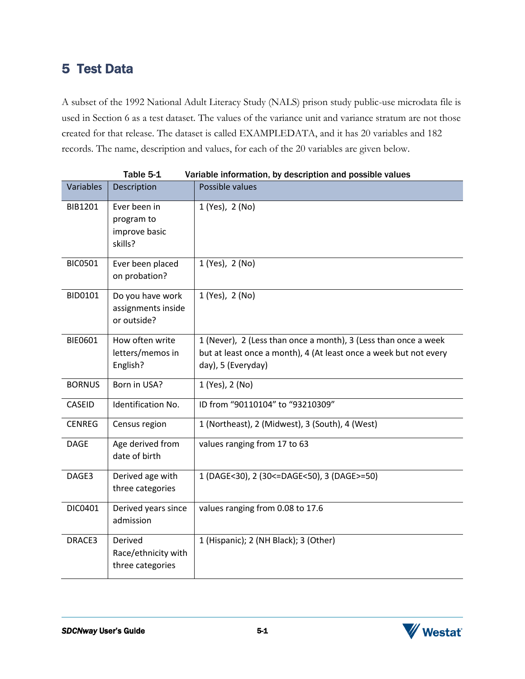# <span id="page-20-0"></span>5 Test Data

A subset of the 1992 National Adult Literacy Study (NALS) prison study public-use microdata file is used in Section 6 as a test dataset. The values of the variance unit and variance stratum are not those created for that release. The dataset is called EXAMPLEDATA, and it has 20 variables and 182 records. The name, description and values, for each of the 20 variables are given below.

| Variables      | Tanic ລ−∓<br>Description                               | variable information, by description and possible values<br>Possible values                                                                                |
|----------------|--------------------------------------------------------|------------------------------------------------------------------------------------------------------------------------------------------------------------|
| BIB1201        | Ever been in<br>program to<br>improve basic<br>skills? | 1 (Yes), 2 (No)                                                                                                                                            |
| <b>BIC0501</b> | Ever been placed<br>on probation?                      | 1 (Yes), 2 (No)                                                                                                                                            |
| BID0101        | Do you have work<br>assignments inside<br>or outside?  | 1 (Yes), 2 (No)                                                                                                                                            |
| BIE0601        | How often write<br>letters/memos in<br>English?        | 1 (Never), 2 (Less than once a month), 3 (Less than once a week<br>but at least once a month), 4 (At least once a week but not every<br>day), 5 (Everyday) |
| <b>BORNUS</b>  | Born in USA?                                           | 1 (Yes), 2 (No)                                                                                                                                            |
| <b>CASEID</b>  | Identification No.                                     | ID from "90110104" to "93210309"                                                                                                                           |
| <b>CENREG</b>  | Census region                                          | 1 (Northeast), 2 (Midwest), 3 (South), 4 (West)                                                                                                            |
| <b>DAGE</b>    | Age derived from<br>date of birth                      | values ranging from 17 to 63                                                                                                                               |
| DAGE3          | Derived age with<br>three categories                   | 1 (DAGE<30), 2 (30<=DAGE<50), 3 (DAGE>=50)                                                                                                                 |
| DIC0401        | Derived years since<br>admission                       | values ranging from 0.08 to 17.6                                                                                                                           |
| DRACE3         | Derived<br>Race/ethnicity with<br>three categories     | 1 (Hispanic); 2 (NH Black); 3 (Other)                                                                                                                      |

Table 5-1 Variable information, by description and possible values

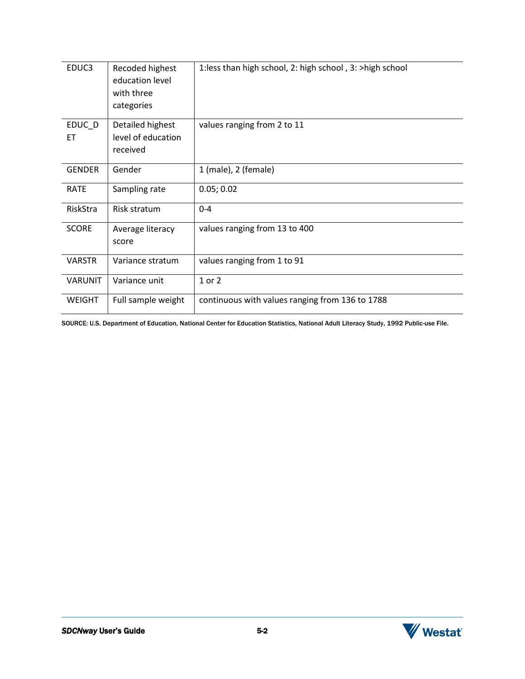| EDUC3          | Recoded highest<br>education level<br>with three<br>categories | 1:less than high school, 2: high school, 3: >high school |
|----------------|----------------------------------------------------------------|----------------------------------------------------------|
| EDUC_D<br>ET   | Detailed highest<br>level of education<br>received             | values ranging from 2 to 11                              |
| <b>GENDER</b>  | Gender                                                         | 1 (male), 2 (female)                                     |
| <b>RATE</b>    | Sampling rate                                                  | 0.05; 0.02                                               |
| RiskStra       | Risk stratum                                                   | $0 - 4$                                                  |
| <b>SCORE</b>   | Average literacy<br>score                                      | values ranging from 13 to 400                            |
| <b>VARSTR</b>  | Variance stratum                                               | values ranging from 1 to 91                              |
| <b>VARUNIT</b> | Variance unit                                                  | 1 or 2                                                   |
| <b>WEIGHT</b>  | Full sample weight                                             | continuous with values ranging from 136 to 1788          |

SOURCE: U.S. Department of Education, National Center for Education Statistics, National Adult Literacy Study, 1992 Public-use File.

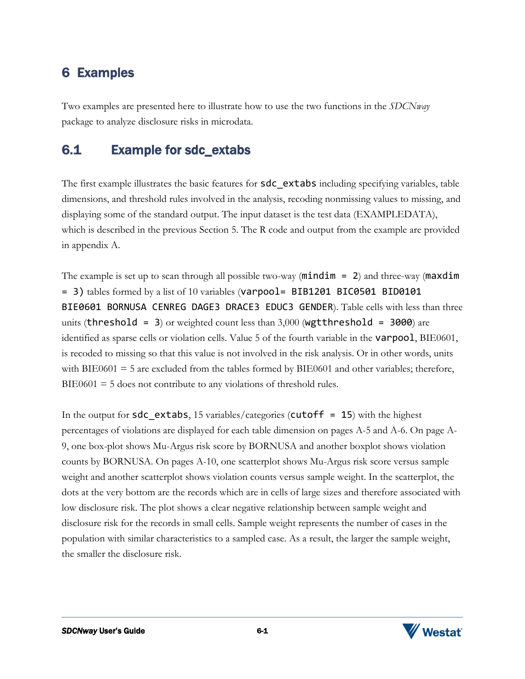# <span id="page-22-0"></span>6 Examples

Two examples are presented here to illustrate how to use the two functions in the *SDCNway*  package to analyze disclosure risks in microdata.

### <span id="page-22-1"></span>6.1 Example for sdc\_extabs

The first example illustrates the basic features for **sdc** extabs including specifying variables, table dimensions, and threshold rules involved in the analysis, recoding nonmissing values to missing, and displaying some of the standard output. The input dataset is the test data (EXAMPLEDATA), which is described in the previous Section 5. The R code and output from the example are provided in appendix A.

The example is set up to scan through all possible two-way ( $mindim = 2$ ) and three-way ( $maxdim$ = 3) tables formed by a list of 10 variables (varpool= BIB1201 BIC0501 BID0101 BIE0601 BORNUSA CENREG DAGE3 DRACE3 EDUC3 GENDER). Table cells with less than three units (threshold = 3) or weighted count less than  $3,000$  (wgtthreshold = 3000) are identified as sparse cells or violation cells. Value 5 of the fourth variable in the varpool, BIE0601, is recoded to missing so that this value is not involved in the risk analysis. Or in other words, units with BIE0601  $=$  5 are excluded from the tables formed by BIE0601 and other variables; therefore,  $BIE0601 = 5$  does not contribute to any violations of threshold rules.

In the output for sdc\_extabs, 15 variables/categories (cutoff =  $15$ ) with the highest percentages of violations are displayed for each table dimension on pages A-5 and A-6. On page A-9, one box-plot shows Mu-Argus risk score by BORNUSA and another boxplot shows violation counts by BORNUSA. On pages A-10, one scatterplot shows Mu-Argus risk score versus sample weight and another scatterplot shows violation counts versus sample weight. In the scatterplot, the dots at the very bottom are the records which are in cells of large sizes and therefore associated with low disclosure risk. The plot shows a clear negative relationship between sample weight and disclosure risk for the records in small cells. Sample weight represents the number of cases in the population with similar characteristics to a sampled case. As a result, the larger the sample weight, the smaller the disclosure risk.

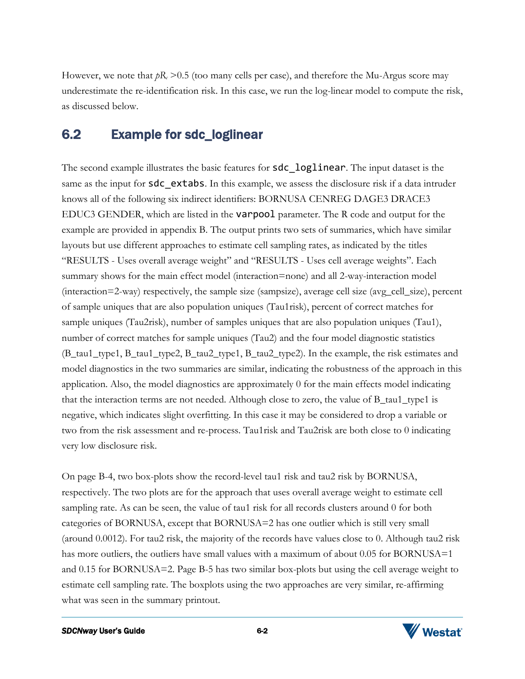However, we note that  $pR_c > 0.5$  (too many cells per case), and therefore the Mu-Argus score may underestimate the re-identification risk. In this case, we run the log-linear model to compute the risk, as discussed below.

### <span id="page-23-0"></span>6.2 Example for sdc\_loglinear

The second example illustrates the basic features for **sdc** loglinear. The input dataset is the same as the input for sdc\_extabs. In this example, we assess the disclosure risk if a data intruder knows all of the following six indirect identifiers: BORNUSA CENREG DAGE3 DRACE3 EDUC3 GENDER, which are listed in the varpool parameter. The R code and output for the example are provided in appendix B. The output prints two sets of summaries, which have similar layouts but use different approaches to estimate cell sampling rates, as indicated by the titles "RESULTS - Uses overall average weight" and "RESULTS - Uses cell average weights". Each summary shows for the main effect model (interaction=none) and all 2-way-interaction model (interaction=2-way) respectively, the sample size (sampsize), average cell size (avg\_cell\_size), percent of sample uniques that are also population uniques (Tau1risk), percent of correct matches for sample uniques (Tau2risk), number of samples uniques that are also population uniques (Tau1), number of correct matches for sample uniques (Tau2) and the four model diagnostic statistics (B\_tau1\_type1, B\_tau1\_type2, B\_tau2\_type1, B\_tau2\_type2). In the example, the risk estimates and model diagnostics in the two summaries are similar, indicating the robustness of the approach in this application. Also, the model diagnostics are approximately 0 for the main effects model indicating that the interaction terms are not needed. Although close to zero, the value of B\_tau1\_type1 is negative, which indicates slight overfitting. In this case it may be considered to drop a variable or two from the risk assessment and re-process. Tau1risk and Tau2risk are both close to 0 indicating very low disclosure risk.

On page B-4, two box-plots show the record-level tau1 risk and tau2 risk by BORNUSA, respectively. The two plots are for the approach that uses overall average weight to estimate cell sampling rate. As can be seen, the value of tau1 risk for all records clusters around 0 for both categories of BORNUSA, except that BORNUSA=2 has one outlier which is still very small (around 0.0012). For tau2 risk, the majority of the records have values close to 0. Although tau2 risk has more outliers, the outliers have small values with a maximum of about 0.05 for BORNUSA=1 and 0.15 for BORNUSA=2. Page B-5 has two similar box-plots but using the cell average weight to estimate cell sampling rate. The boxplots using the two approaches are very similar, re-affirming what was seen in the summary printout.

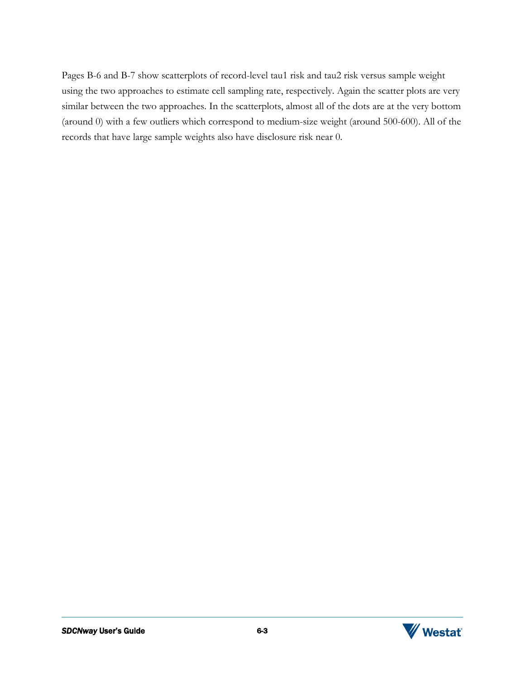Pages B-6 and B-7 show scatterplots of record-level tau1 risk and tau2 risk versus sample weight using the two approaches to estimate cell sampling rate, respectively. Again the scatter plots are very similar between the two approaches. In the scatterplots, almost all of the dots are at the very bottom (around 0) with a few outliers which correspond to medium-size weight (around 500-600). All of the records that have large sample weights also have disclosure risk near 0.

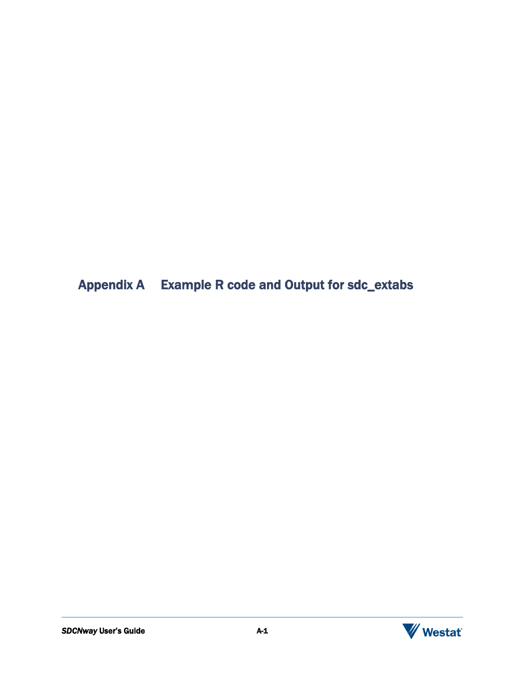<span id="page-25-0"></span>Appendix A Example R code and Output for sdc\_extabs



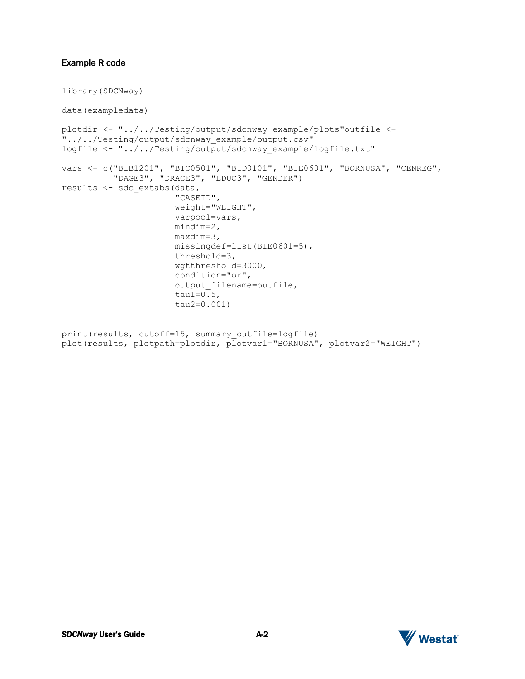### Example R code

```
library(SDCNway) 
data(exampledata)
plotdir <- "../../Testing/output/sdcnway_example/plots"outfile <- 
"../../Testing/output/sdcnway_example/output.csv"
logfile <- "../../Testing/output/sdcnway_example/logfile.txt"
vars <- c("BIB1201", "BIC0501", "BID0101", "BIE0601", "BORNUSA", "CENREG",
           "DAGE3", "DRACE3", "EDUC3", "GENDER")
results <- sdc_extabs(data, 
                        "CASEID",
                        weight="WEIGHT", 
                        varpool=vars,
                        mindim=2,
                        maxdim=3,
                        missingdef=list(BIE0601=5),
                        threshold=3,
                        wgtthreshold=3000,
                        condition="or", 
                       output filename=outfile,
                       tau1=0.5.
                        tau2=0.001)
```

```
print(results, cutoff=15, summary outfile=logfile)
plot(results, plotpath=plotdir, plotvar1="BORNUSA", plotvar2="WEIGHT")
```
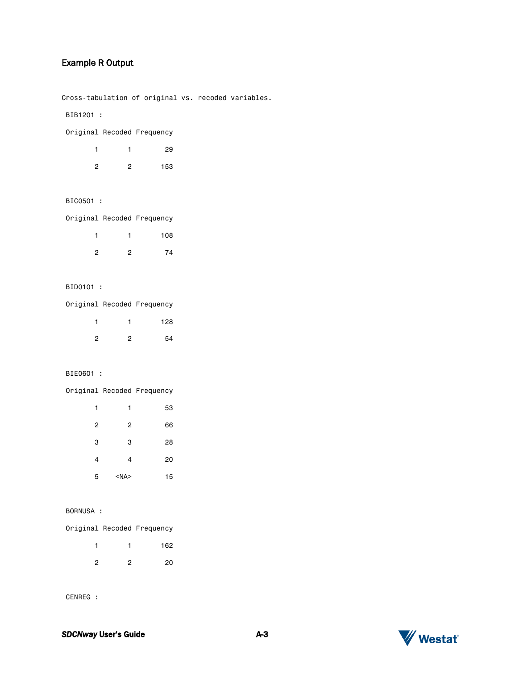### Example R Output

Cross-tabulation of original vs. recoded variables.

BIB1201 :

|   |   | 29  |
|---|---|-----|
| 2 | 2 | 153 |

### BIC0501 :

Original Recoded Frequency

|               |                | 108 |
|---------------|----------------|-----|
| $\mathcal{P}$ | $\overline{2}$ | 74  |

#### BID0101 :

Original Recoded Frequency

|   |   | 128 |
|---|---|-----|
| ົ | ◠ | 54  |

### BIE0601 :

Original Recoded Frequency

| 1              | 1          | 53 |
|----------------|------------|----|
| $\overline{2}$ | 2          | 66 |
| 3              | 3          | 28 |
| 4              | 4          | 20 |
| 5              | $<$ NA $>$ | 15 |

### BORNUSA :

Original Recoded Frequency

|   |   | 162 |
|---|---|-----|
| 2 | 2 | 20  |

CENREG :

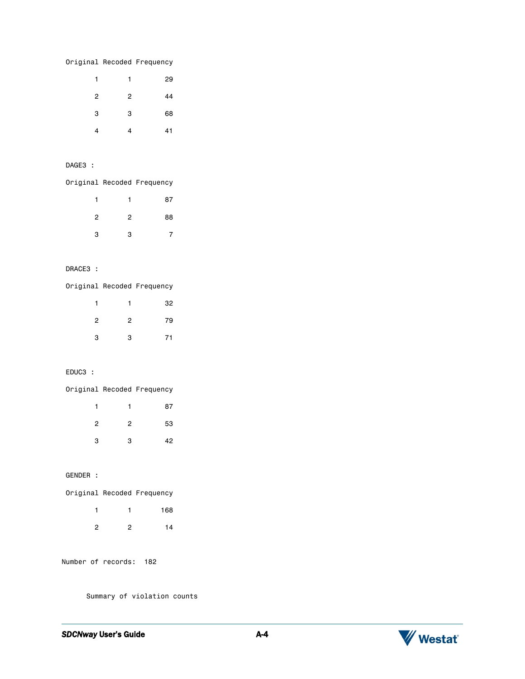|  | Original Recoded Frequency |
|--|----------------------------|
|  |                            |

| 1 | 1              | 29 |
|---|----------------|----|
| 2 | $\overline{c}$ | 44 |
| 3 | 3              | 68 |
| 4 | 4              | 41 |

### DAGE3 :

Original Recoded Frequency

| 1 | 1              | 87 |
|---|----------------|----|
| 2 | $\overline{c}$ | 88 |
| 3 | 3              |    |

### DRACE3 :

Original Recoded Frequency

|                | 1              | 32 |
|----------------|----------------|----|
| $\overline{2}$ | $\overline{2}$ | 79 |
| 3              | 3              | 71 |

#### EDUC3 :

Original Recoded Frequency 1 1 87 2 2 53 3 3 42

GENDER :

| Original Recoded Frequency |  |
|----------------------------|--|
| 168                        |  |
| 14                         |  |

Number of records: 182

Summary of violation counts

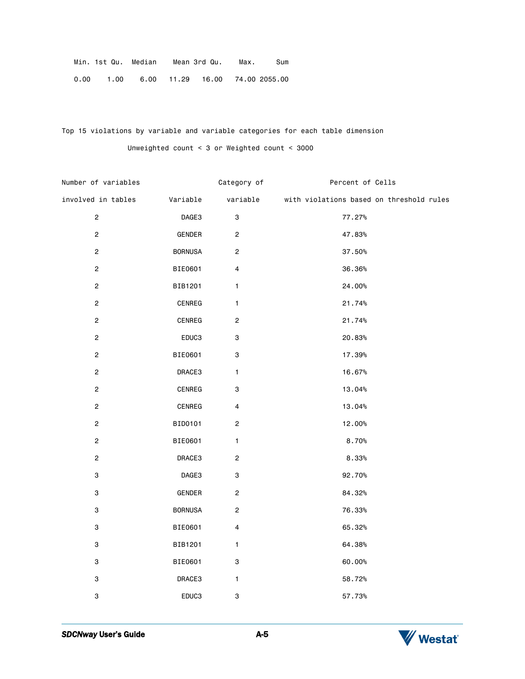| Min. 1st Qu. Median                                    |  | Mean 3rd Qu. | Max. | Sum |
|--------------------------------------------------------|--|--------------|------|-----|
| $0.00$ $1.00$ $6.00$ $11.29$ $16.00$ $74.00$ $2055.00$ |  |              |      |     |

Top 15 violations by variable and variable categories for each table dimension Unweighted count < 3 or Weighted count < 3000

| Number of variables       |                | Category of               | Percent of Cells                                  |
|---------------------------|----------------|---------------------------|---------------------------------------------------|
| involved in tables        | Variable       |                           | variable with violations based on threshold rules |
| $\overline{c}$            | DAGE3          | $\ensuremath{\mathsf{3}}$ | 77.27%                                            |
| $\overline{2}$            | GENDER         | $\boldsymbol{2}$          | 47.83%                                            |
| $\overline{c}$            | <b>BORNUSA</b> | $\boldsymbol{2}$          | 37.50%                                            |
| $\overline{2}$            | BIE0601        | 4                         | 36.36%                                            |
| $\overline{2}$            | BIB1201        | $\mathbf{1}$              | 24.00%                                            |
| $\overline{2}$            | CENREG         | $\mathbf{1}$              | 21.74%                                            |
| $\overline{c}$            | CENREG         | $\boldsymbol{2}$          | 21.74%                                            |
| $\overline{2}$            | EDUC3          | 3                         | 20.83%                                            |
| $\mathbf{2}$              | BIE0601        | 3                         | 17.39%                                            |
| $\overline{c}$            | DRACE3         | $\mathbf{1}$              | 16.67%                                            |
| $\mathbf 2$               | CENREG         | 3                         | 13.04%                                            |
| $\overline{c}$            | CENREG         | 4                         | 13.04%                                            |
| $\mathbf 2$               | BID0101        | $\mathbf 2$               | 12.00%                                            |
| $\boldsymbol{2}$          | BIE0601        | $\mathbf{1}$              | 8.70%                                             |
| $\overline{c}$            | DRACE3         | $\mathbf 2$               | 8.33%                                             |
| 3                         | DAGE3          | $\ensuremath{\mathsf{3}}$ | 92.70%                                            |
| $\ensuremath{\mathsf{3}}$ | GENDER         | $\mathbf 2$               | 84.32%                                            |
| 3                         | <b>BORNUSA</b> | $\overline{c}$            | 76.33%                                            |
| 3                         | BIE0601        | 4                         | 65.32%                                            |
| 3                         | BIB1201        | 1                         | 64.38%                                            |
| 3                         | BIE0601        | $\ensuremath{\mathsf{3}}$ | $60.00\%$                                         |
| 3                         | DRACE3         | $\mathbf{1}$              | 58.72%                                            |
| 3                         | EDUC3          | 3                         | 57.73%                                            |

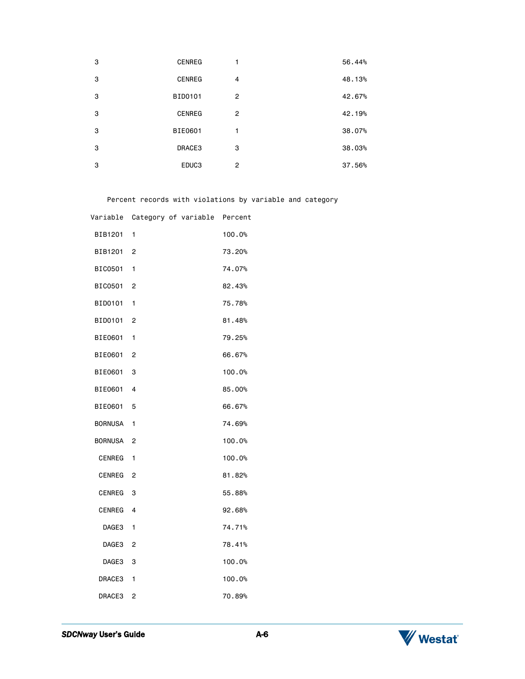| 3 | <b>CENREG</b> | 1              | 56.44% |
|---|---------------|----------------|--------|
| 3 | <b>CENREG</b> | $\overline{4}$ | 48.13% |
| 3 | BID0101       | $\overline{2}$ | 42.67% |
| 3 | <b>CENREG</b> | $\overline{2}$ | 42.19% |
| 3 | BIE0601       | 1              | 38.07% |
| 3 | DRACE3        | 3              | 38.03% |
| 3 | EDUC3         | $\overline{2}$ | 37.56% |
|   |               |                |        |

Percent records with violations by variable and category

|                      | Variable Category of variable Percent |        |
|----------------------|---------------------------------------|--------|
| BIB1201 1            |                                       | 100.0% |
| BIB1201 2            |                                       | 73.20% |
| BIC0501 1            |                                       | 74.07% |
| BIC0501 2            |                                       | 82.43% |
| BID0101 1            |                                       | 75.78% |
| BID0101 2            |                                       | 81.48% |
| BIE0601              | 1                                     | 79.25% |
| BIE0601 2            |                                       | 66.67% |
| BIE0601 3            |                                       | 100.0% |
| BIE0601 4            |                                       | 85.00% |
| BIE0601 5            |                                       | 66.67% |
| BORNUSA 1            |                                       | 74.69% |
| BORNUSA <sub>2</sub> |                                       | 100.0% |
| CENREG 1             |                                       | 100.0% |
| CENREG <sub>2</sub>  |                                       | 81.82% |
| CENREG <sub>3</sub>  |                                       | 55.88% |
| CENREG 4             |                                       | 92.68% |
| DAGE3 1              |                                       | 74.71% |
| DAGE3 <sub>2</sub>   |                                       | 78.41% |
| DAGE3 3              |                                       | 100.0% |
| DRACE3 1             |                                       | 100.0% |
| DRACE3               | $\overline{2}$                        | 70.89% |

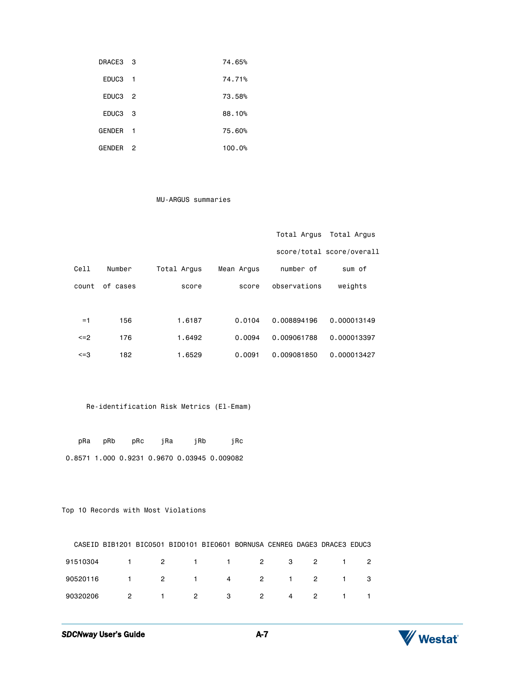| DRACE3 3            |                | 74.65% |
|---------------------|----------------|--------|
| EDUC <sub>3</sub> 1 |                | 74.71% |
| EDUC <sub>3</sub> 2 |                | 73.58% |
| EDUC <sub>3</sub> 3 |                | 88.10% |
| GENDER <sub>1</sub> |                | 75.60% |
| GENDER              | $\overline{2}$ | 100.0% |

#### MU-ARGUS summaries

|            |          |             |            | Total Argus  | Total Argus               |
|------------|----------|-------------|------------|--------------|---------------------------|
|            |          |             |            |              | score/total score/overall |
| Cell       | Number   | Total Argus | Mean Arqus | number of    | sum of                    |
| count      | of cases | score       | score      | observations | weights                   |
|            |          |             |            |              |                           |
| $=1$       | 156      | 1.6187      | 0.0104     | 0.008894196  | 0.000013149               |
| $\leq$ = 2 | 176      | 1.6492      | 0.0094     | 0.009061788  | 0.000013397               |
| <=3        | 182      | 1.6529      | 0.0091     | 0.009081850  | 0.000013427               |

### Re-identification Risk Metrics (El-Emam)

|  |  | pRa pRb pRc jRa jRb | iRc                                         |
|--|--|---------------------|---------------------------------------------|
|  |  |                     | 0.8571 1.000 0.9231 0.9670 0.03945 0.009082 |

### Top 10 Records with Most Violations

|          |   | CASEID BIB1201 BIC0501 BID0101 BIE0601 BORNUSA CENREG DAGE3 DRACE3 EDUC3 |             |                     |       |  |
|----------|---|--------------------------------------------------------------------------|-------------|---------------------|-------|--|
| 91510304 |   | 1 2 1 1 2 3 2 1 2                                                        |             |                     |       |  |
| 90520116 |   | 1 2 1 4 2 1 2 1 3                                                        |             |                     |       |  |
| 90320206 | 2 |                                                                          | $1 \t2 \t3$ | 2<br>$\overline{4}$ | 2 1 1 |  |

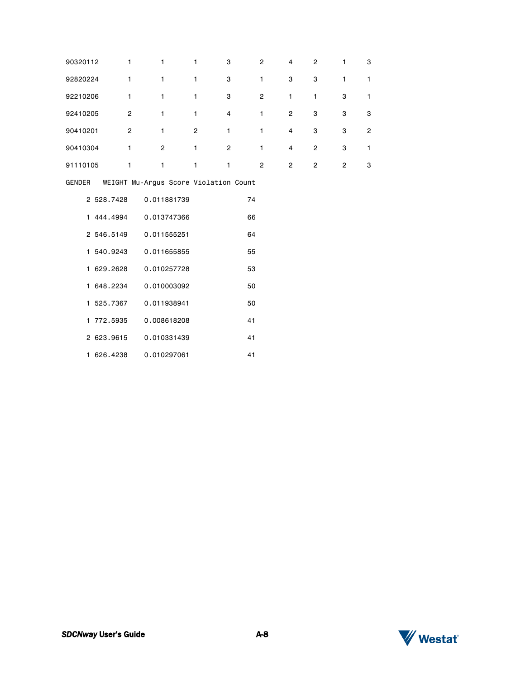| 90320112 | $\mathbf{1}$   | $\mathbf{1}$                          | $\mathbf{1}$            | 3              | $\overline{2}$ | $\overline{4}$ | $\overline{c}$ | $\mathbf{1}$   | 3            |
|----------|----------------|---------------------------------------|-------------------------|----------------|----------------|----------------|----------------|----------------|--------------|
| 92820224 | $\mathbf{1}$   | $\mathbf{1}$                          | $\mathbf{1}$            | 3              | $\mathbf{1}$   | 3              | 3              | $\mathbf{1}$   | $\mathbf{1}$ |
| 92210206 | 1              | $\mathbf{1}$                          | 1                       | 3              | $\mathbf{2}$   | $\mathbf{1}$   | $\mathbf{1}$   | 3              | 1            |
| 92410205 | $\overline{2}$ | $\mathbf{1}$                          | $\mathbf{1}$            | $\overline{4}$ | $\mathbf{1}$   | $\overline{c}$ | 3              | 3              | 3            |
| 90410201 | $\mathbf{2}$   | $\mathbf{1}$                          | $\overline{\mathbf{c}}$ | 1              | $\mathbf{1}$   | 4              | 3              | 3              | 2            |
| 90410304 | $\mathbf{1}$   | $\mathbf{2}$                          | $\mathbf{1}$            | $\overline{2}$ | $\mathbf{1}$   | $\overline{4}$ | $\overline{2}$ | 3              | $\mathbf{1}$ |
| 91110105 | $\mathbf{1}$   | $\mathbf{1}$                          | $\mathbf{1}$            | $\mathbf{1}$   | $\overline{2}$ | $\overline{2}$ | $\overline{2}$ | $\overline{c}$ | 3            |
| GENDER   |                | WEIGHT Mu-Argus Score Violation Count |                         |                |                |                |                |                |              |
|          | 2 528.7428     | 0.011881739                           |                         |                | 74             |                |                |                |              |
|          |                | 1 444.4994 0.013747366                |                         |                | 66             |                |                |                |              |
|          | 2 546.5149     | 0.011555251                           |                         |                | 64             |                |                |                |              |
|          | 1 540.9243     | 0.011655855                           |                         |                | 55             |                |                |                |              |
|          | 1 629.2628     | 0.010257728                           |                         |                | 53             |                |                |                |              |
|          | 1 648.2234     | 0.010003092                           |                         |                | 50             |                |                |                |              |
|          | 1 525.7367     | 0.011938941                           |                         |                | 50             |                |                |                |              |
|          | 1 772.5935     | 0.008618208                           |                         |                | 41             |                |                |                |              |
|          | 2 623.9615     | 0.010331439                           |                         |                | 41             |                |                |                |              |
|          | 1 626.4238     | 0.010297061                           |                         |                | 41             |                |                |                |              |

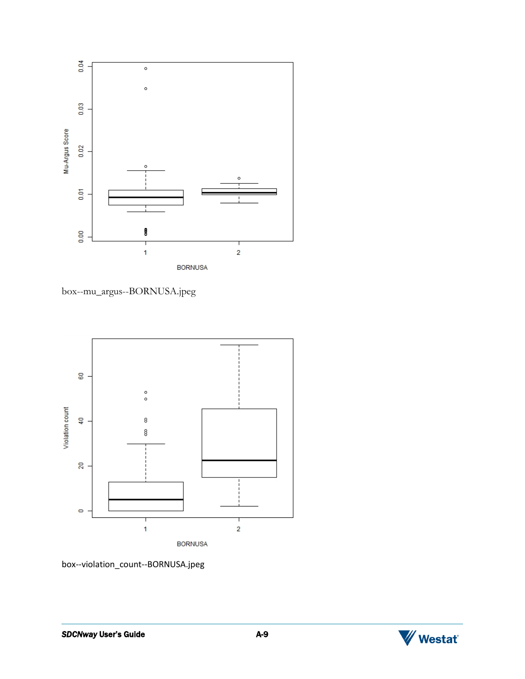

box--mu\_argus--BORNUSA.jpeg



box--violation\_count--BORNUSA.jpeg

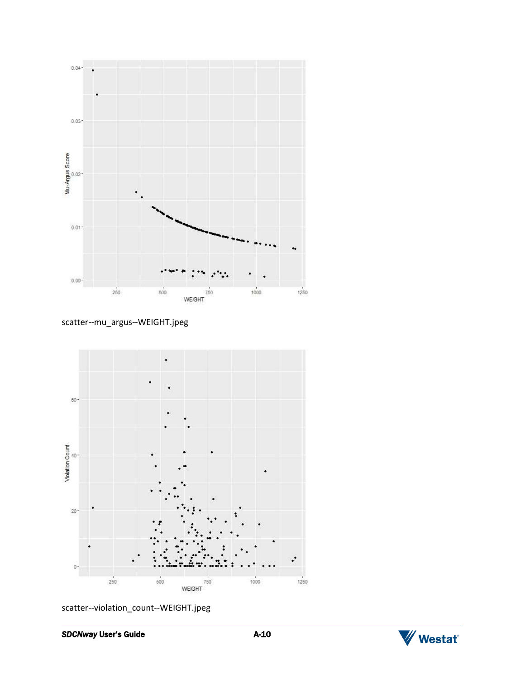

scatter--mu\_argus--WEIGHT.jpeg



scatter--violation\_count--WEIGHT.jpeg

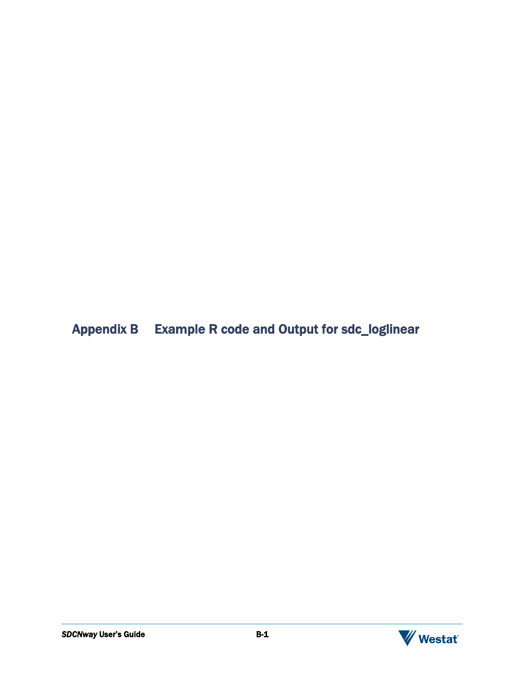# <span id="page-35-0"></span>Appendix B Example R code and Output for sdc\_loglinear

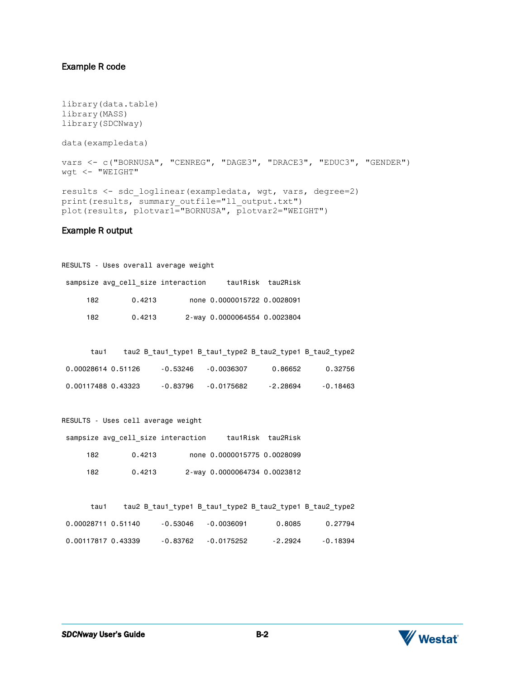### Example R code

```
library(data.table)
library(MASS)
library(SDCNway) 
data(exampledata)
vars <- c("BORNUSA", "CENREG", "DAGE3", "DRACE3", "EDUC3", "GENDER")
wgt <- "WEIGHT"
results <- sdc_loglinear(exampledata, wgt, vars, degree=2)
print(results, summary outfile="ll output.txt")
plot(results, plotvar1="BORNUSA", plotvar2="WEIGHT")
```
### Example R output

|      | RESULTS - Uses overall average weight |  |                              |                   |  |  |  |
|------|---------------------------------------|--|------------------------------|-------------------|--|--|--|
|      | sampsize avg cell size interaction    |  |                              | tau1Risk tau2Risk |  |  |  |
| 182  | 0.4213                                |  | none 0.0000015722 0.0028091  |                   |  |  |  |
| 182. | 0.4213                                |  | 2-way 0.0000064554 0.0023804 |                   |  |  |  |

| tau1               |          |            |          | tau2 B tau1 type1 B tau1 type2 B tau2 type1 B tau2 type2 |
|--------------------|----------|------------|----------|----------------------------------------------------------|
| 0.00028614 0.51126 | -0.53246 | -0.0036307 | 0.86652  | 0.32756                                                  |
| 0.00117488 0.43323 | -0.83796 | -0.0175682 | -2.28694 | $-0.18463$                                               |

```
RESULTS - Uses cell average weight
```

| tau1Risk tau2Risk |                              | sampsize avg cell size interaction |     |
|-------------------|------------------------------|------------------------------------|-----|
|                   | none 0.0000015775 0.0028099  | 0.4213                             | 182 |
|                   | 2-way 0.0000064734 0.0023812 | 0.4213                             | 182 |

|            |         | tau2 B tau1 type1 B tau1 type2 B tau2 type1 B tau2 type2 |          | tau1               |
|------------|---------|----------------------------------------------------------|----------|--------------------|
| 0.27794    | 0.8085  | -0.0036091                                               | -0.53046 | 0.00028711 0.51140 |
| $-0.18394$ | -2.2924 | -0.0175252                                               | -0.83762 | 0.00117817 0.43339 |

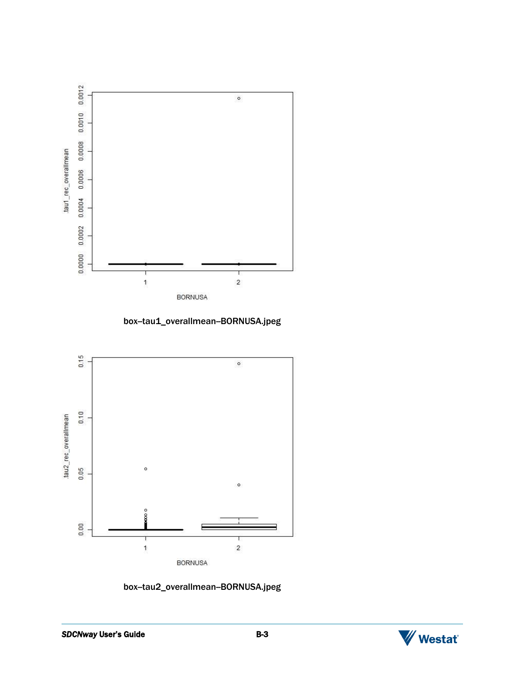

box-tau1\_overallmean-BORNUSA.jpeg



box-tau2\_overallmean-BORNUSA.jpeg

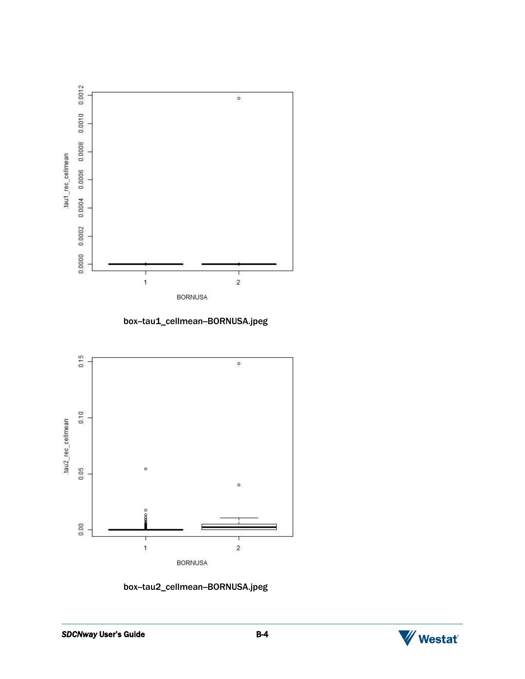

box-tau1\_cellmean-BORNUSA.jpeg



box-tau2\_cellmean-BORNUSA.jpeg

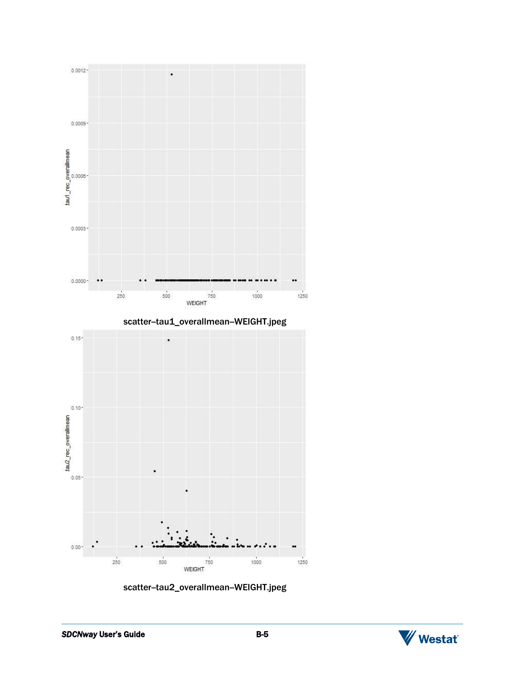

scatter-tau2\_overallmean-WEIGHT.jpeg

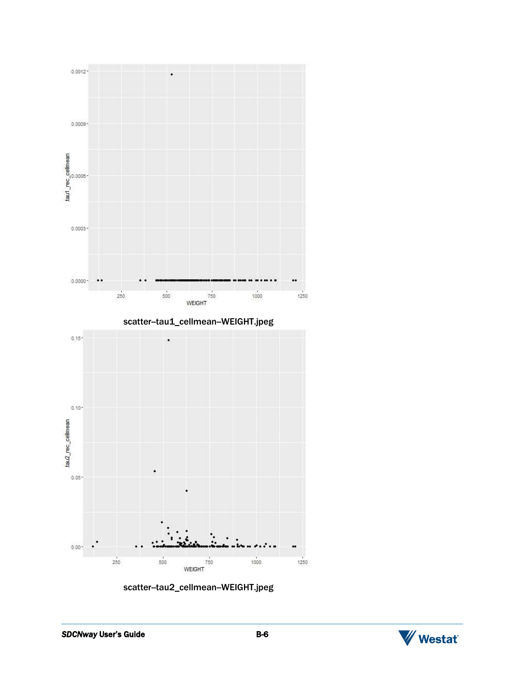

scatter-tau2\_cellmean-WEIGHT.jpeg